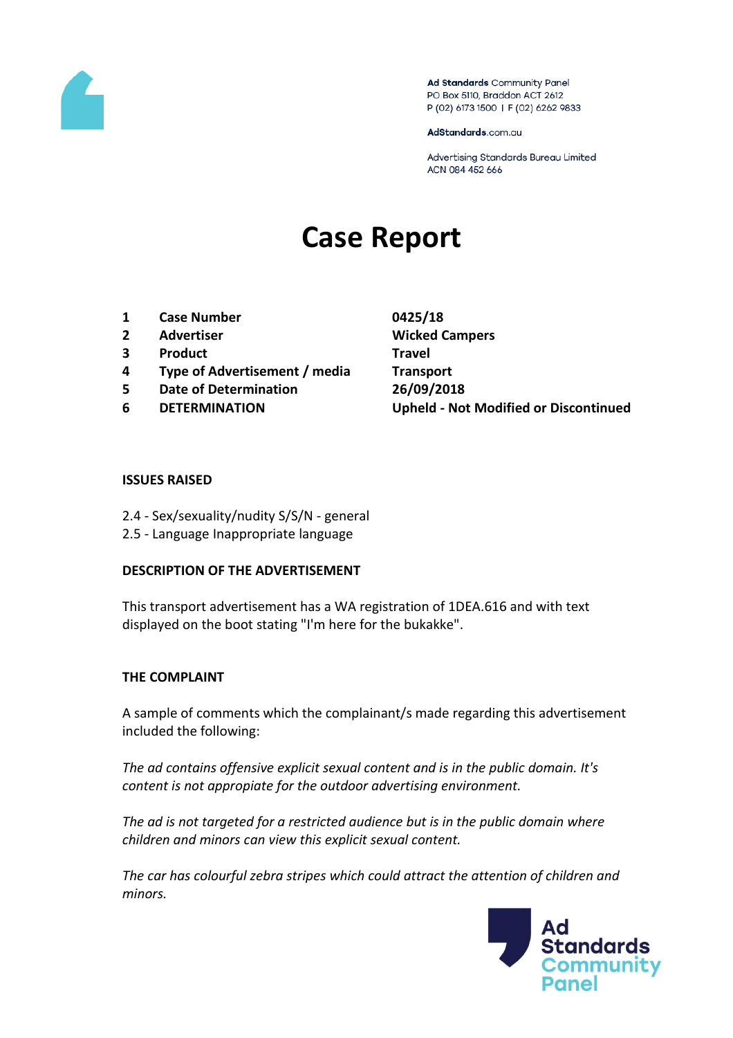

Ad Standards Community Panel PO Box 5110, Braddon ACT 2612 P (02) 6173 1500 | F (02) 6262 9833

AdStandards.com.au

Advertising Standards Bureau Limited ACN 084 452 666

# **Case Report**

- **1 Case Number 0425/18**
- **2 Advertiser Wicked Campers**
- **3 Product Travel**
- **4 Type of Advertisement / media Transport**
- **5 Date of Determination 26/09/2018**
- 

**6 DETERMINATION Upheld - Not Modified or Discontinued**

#### **ISSUES RAISED**

- 2.4 Sex/sexuality/nudity S/S/N general
- 2.5 Language Inappropriate language

#### **DESCRIPTION OF THE ADVERTISEMENT**

This transport advertisement has a WA registration of 1DEA.616 and with text displayed on the boot stating "I'm here for the bukakke".

### **THE COMPLAINT**

A sample of comments which the complainant/s made regarding this advertisement included the following:

*The ad contains offensive explicit sexual content and is in the public domain. It's content is not appropiate for the outdoor advertising environment.*

*The ad is not targeted for a restricted audience but is in the public domain where children and minors can view this explicit sexual content.*

*The car has colourful zebra stripes which could attract the attention of children and minors.*

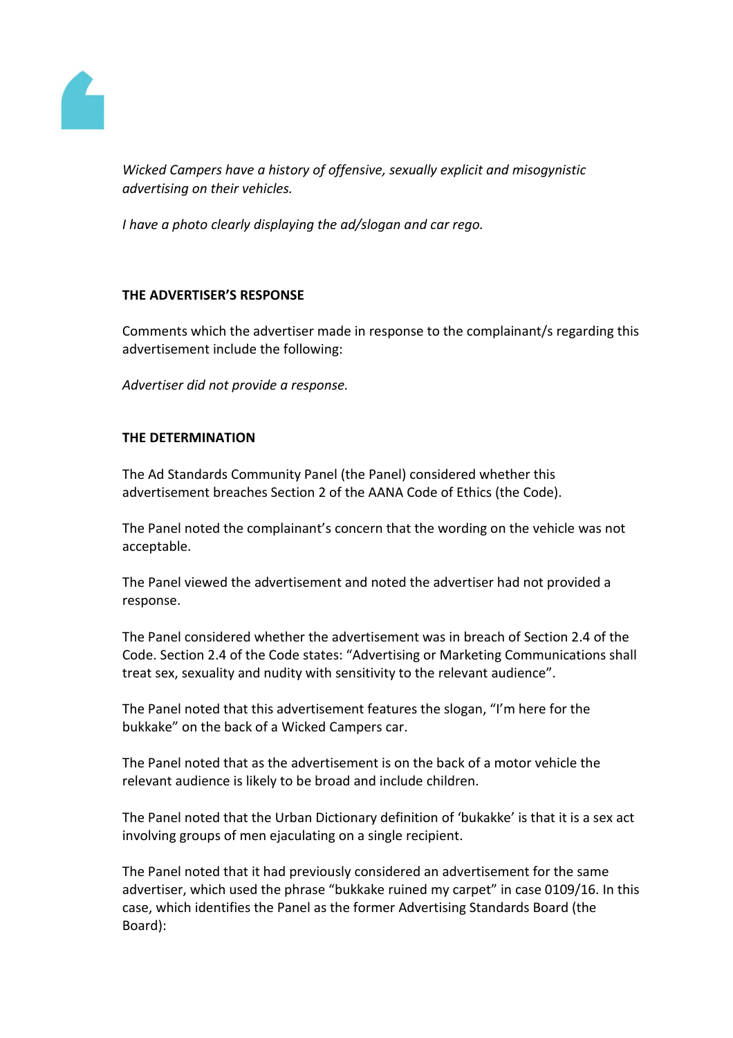

*Wicked Campers have a history of offensive, sexually explicit and misogynistic advertising on their vehicles.*

*I have a photo clearly displaying the ad/slogan and car rego.*

# **THE ADVERTISER'S RESPONSE**

Comments which the advertiser made in response to the complainant/s regarding this advertisement include the following:

*Advertiser did not provide a response.*

## **THE DETERMINATION**

The Ad Standards Community Panel (the Panel) considered whether this advertisement breaches Section 2 of the AANA Code of Ethics (the Code).

The Panel noted the complainant's concern that the wording on the vehicle was not acceptable.

The Panel viewed the advertisement and noted the advertiser had not provided a response.

The Panel considered whether the advertisement was in breach of Section 2.4 of the Code. Section 2.4 of the Code states: "Advertising or Marketing Communications shall treat sex, sexuality and nudity with sensitivity to the relevant audience".

The Panel noted that this advertisement features the slogan, "I'm here for the bukkake" on the back of a Wicked Campers car.

The Panel noted that as the advertisement is on the back of a motor vehicle the relevant audience is likely to be broad and include children.

The Panel noted that the Urban Dictionary definition of 'bukakke' is that it is a sex act involving groups of men ejaculating on a single recipient.

The Panel noted that it had previously considered an advertisement for the same advertiser, which used the phrase "bukkake ruined my carpet" in case 0109/16. In this case, which identifies the Panel as the former Advertising Standards Board (the Board):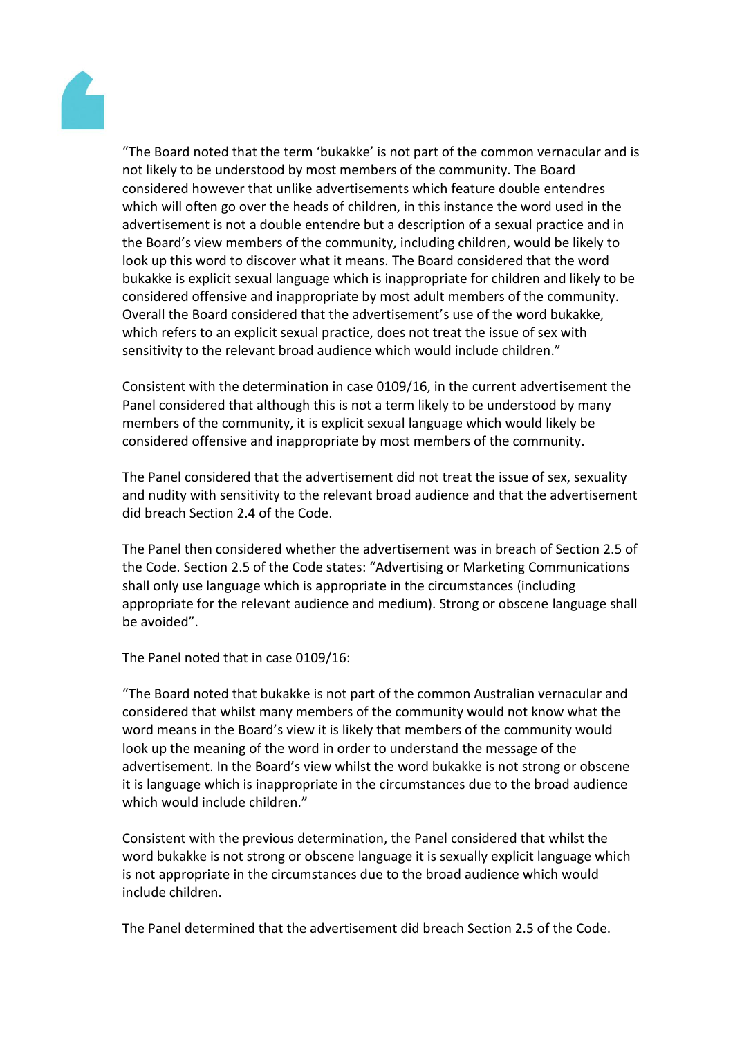

"The Board noted that the term 'bukakke' is not part of the common vernacular and is not likely to be understood by most members of the community. The Board considered however that unlike advertisements which feature double entendres which will often go over the heads of children, in this instance the word used in the advertisement is not a double entendre but a description of a sexual practice and in the Board's view members of the community, including children, would be likely to look up this word to discover what it means. The Board considered that the word bukakke is explicit sexual language which is inappropriate for children and likely to be considered offensive and inappropriate by most adult members of the community. Overall the Board considered that the advertisement's use of the word bukakke, which refers to an explicit sexual practice, does not treat the issue of sex with sensitivity to the relevant broad audience which would include children."

Consistent with the determination in case 0109/16, in the current advertisement the Panel considered that although this is not a term likely to be understood by many members of the community, it is explicit sexual language which would likely be considered offensive and inappropriate by most members of the community.

The Panel considered that the advertisement did not treat the issue of sex, sexuality and nudity with sensitivity to the relevant broad audience and that the advertisement did breach Section 2.4 of the Code.

The Panel then considered whether the advertisement was in breach of Section 2.5 of the Code. Section 2.5 of the Code states: "Advertising or Marketing Communications shall only use language which is appropriate in the circumstances (including appropriate for the relevant audience and medium). Strong or obscene language shall be avoided".

The Panel noted that in case 0109/16:

"The Board noted that bukakke is not part of the common Australian vernacular and considered that whilst many members of the community would not know what the word means in the Board's view it is likely that members of the community would look up the meaning of the word in order to understand the message of the advertisement. In the Board's view whilst the word bukakke is not strong or obscene it is language which is inappropriate in the circumstances due to the broad audience which would include children."

Consistent with the previous determination, the Panel considered that whilst the word bukakke is not strong or obscene language it is sexually explicit language which is not appropriate in the circumstances due to the broad audience which would include children.

The Panel determined that the advertisement did breach Section 2.5 of the Code.